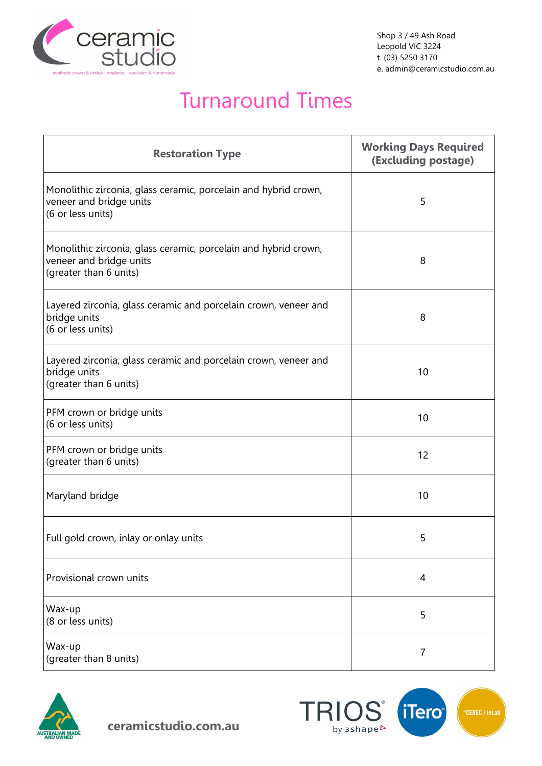

Shop 3 / 49 Ash Road Leopold VIC 3224 t. (03) 5250 3170 e. admin@ceramicstudio.com.au

## Turnaround Times

| <b>Restoration Type</b>                                                                                              | <b>Working Days Required</b><br>(Excluding postage) |
|----------------------------------------------------------------------------------------------------------------------|-----------------------------------------------------|
| Monolithic zirconia, glass ceramic, porcelain and hybrid crown,<br>veneer and bridge units<br>(6 or less units)      | 5                                                   |
| Monolithic zirconia, glass ceramic, porcelain and hybrid crown,<br>veneer and bridge units<br>(greater than 6 units) | 8                                                   |
| Layered zirconia, glass ceramic and porcelain crown, veneer and<br>bridge units<br>(6 or less units)                 | 8                                                   |
| Layered zirconia, glass ceramic and porcelain crown, veneer and<br>bridge units<br>(greater than 6 units)            | 10                                                  |
| PFM crown or bridge units<br>(6 or less units)                                                                       | 10                                                  |
| PFM crown or bridge units<br>(greater than 6 units)                                                                  | 12                                                  |
| Maryland bridge                                                                                                      | 10                                                  |
| Full gold crown, inlay or onlay units                                                                                | 5                                                   |
| Provisional crown units                                                                                              | $\overline{4}$                                      |
| Wax-up<br>(8 or less units)                                                                                          | 5                                                   |
| Wax-up<br>(greater than 8 units)                                                                                     | $\overline{7}$                                      |